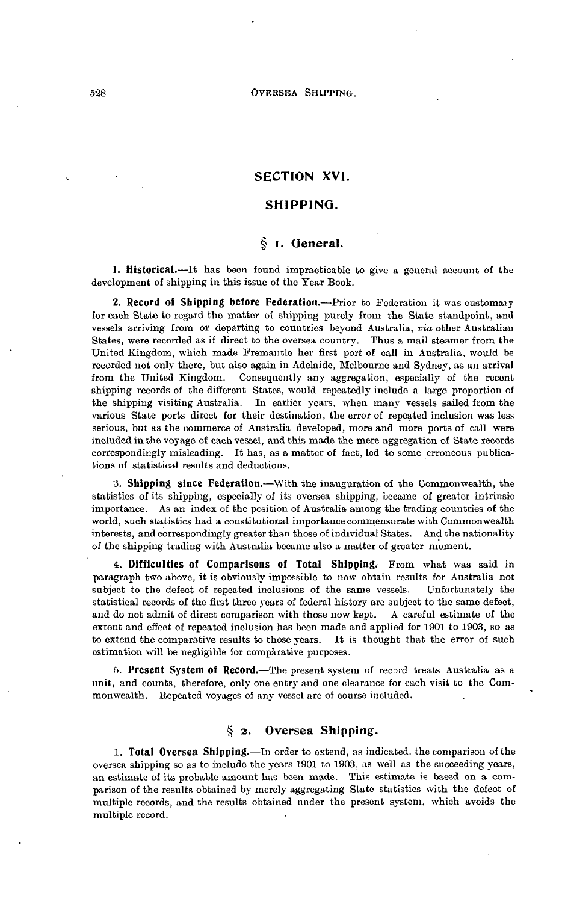# **SECTION XVI.**

#### **SHIPPING.**

# **§ i. General.**

**1. Historical.**—It has been found impracticable to give a general account of the development of shipping in this issue of the Year Book.

**2. Record of Shipping before Federation.**—Prior to Federation it was customaiy for each State to regard the matter of shipping purely from the State standpoint, and vessels arriving from or departing to countries beyond Australia, *via* other Australian States, were recorded as if direct to the oversea country. Thus a mail steamer from the United Kingdom, which made Fremantle her first port of call in Australia, would be recorded not only there, but also again in Adelaide, Melbourne and Sydney, as an arrival from the United Kingdom. Consequently any aggregation, especially of the recent shipping records of the different States, would repeatedly include a large proportion of the shipping visiting Australia. In earlier years, when many vessels sailed from the various State ports direct for their destination, the error of repeated inclusion was less serious, but as the commerce of Australia developed, more and more ports of call were included in the voyage of each vessel, and this made the mere aggregation of State records correspondingly misleading. It has, as a matter of fact, led to some erroneous publications of statistical results and deductions.

**3. Shipping since Federation.**—With the inauguration of the Commonwealth, the statistics of its shipping, especially of its oversea shipping, became of greater intrinsic importance. As an index of the position of Australia among the trading countries of the world, such statistics had a constitutional importance commensurate with Commonwealth interests, and correspondingly greater than those of individual States. And the nationality of the shipping trading with Australia became also a matter of greater moment.

**4. Difficulties of Comparisons of Total Shipping.—Prom** what was said in paragraph two above, it is obviously impossible to now obtain results for Australia not subject to the defect of repeated inclusions of the same vessels. Unfortunately the statistical records of the first three years of federal history are subject to the same defect, and do not admit of direct comparison with those now kept. A careful estimate of the extent and effect of repeated inclusion has been made and applied for 1901 to 1903, so as to extend the comparative results to those years. It is thought that the error of such estimation will be negligible for comparative purposes.

**5. Present System of Record.**—The present system of record treats Australia as a unit, and counts, therefore, only one entry and one clearance for each visit to the Commonwealth. Repeated voyages of any vessel are of course included.

# **§** *2.* **Oversea Shipping.**

**1. Total Oversea Shipping.**—In order to extend, as indicated, the comparison of the oversea shipping so as to include the years 1901 to 1903, as well as the succeeding years, an estimate of its probable amount has been made. This estimate is based on a comparison of the results obtained by merely aggregating State statistics with the defect of multiple records, and the results obtained under the present system, which avoids the multiple record.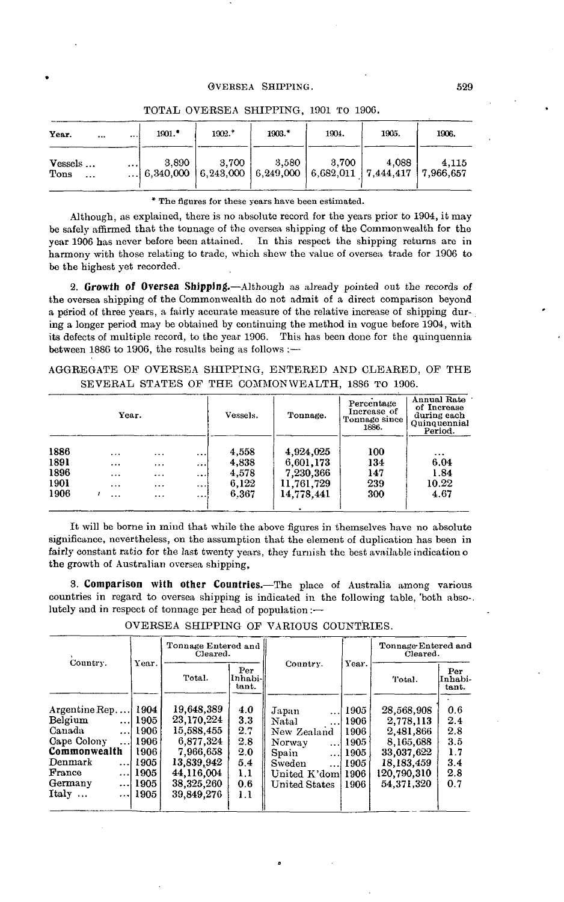| Year.<br>$\cdots$           | $\cdots$ | $1901.$ *                                                                      | 1902.*    | 1903.* | 1904.   | 1905. | 1906. |
|-----------------------------|----------|--------------------------------------------------------------------------------|-----------|--------|---------|-------|-------|
| Vessels<br>Tons<br>$\cdots$ | $\cdots$ | 3,890<br>6,340,000   6,243,000   6,249,000   6,682,011   7,444,417   7,966,657 | $3,700$ + | 3,580  | - 3.700 | 4,088 | 4,115 |

TOTAL OVERSEA SHIPPING, 1901 TO 190G.

#### \* The figures for these years have been estimated.

Although, as explained, there is no absolute record for the years prior to 1904, it may be safely affirmed that the tonnage of the oversea shipping of the Commonwealth for the year 1906 has never before been attained. In this respect the shipping returns are in harmony with those relating to trade, which shew the value of oversea trade for 1906 to be the highest yet recorded.

**2. Growth of Oversea Shipping.**—Although as already pointed out the records of the oversea shipping of the Commonwealth do not admit of a direct comparison beyond a period of three years, a fairly accurate measure of the relative increase of shipping during a longer period may be obtained by continuing the method in vogue before 1904, with its defects of multiple record, to the year 1906. This has been done for the quinquennia between 1886 to 1906, the results being as follows :—

AGGREGATE OF OVERSEA SHIPPING, ENTERED AND CLEARED, OP THE SEVERAL STATES OF THE COMMONWEALTH, 1886 TO 1906.

| Year. |  |           |          | Vessels. | Tonnage. | Percentage<br>Increase of<br>Tonnage since<br>1886. | Annual Rate<br>of Increase<br>during each<br>Quinquennial<br>Period. |          |
|-------|--|-----------|----------|----------|----------|-----------------------------------------------------|----------------------------------------------------------------------|----------|
| 1886  |  | .         | $\cdot$  |          | 4,558    | 4,924,025                                           | 100                                                                  | $\cdots$ |
| 1891  |  | $\ddotsc$ | .        |          | 4,838    | 6,601,173                                           | 134                                                                  | 6.04     |
| 1896  |  | $\cdots$  |          | $\cdots$ | 4,578    | 7.230,366                                           | 147                                                                  | 1.84     |
| 1901  |  | $\ddotsc$ | $\cdots$ | $\cdots$ | 6,122    | 11,761,729                                          | 239                                                                  | 10.22    |
| 1906  |  | $\ddotsc$ | $\cdots$ |          | 6.367    | 14.778.441                                          | 300                                                                  | 4.67     |
|       |  |           |          |          |          |                                                     |                                                                      |          |

It will be borne in mind that while the above figures in themselves have no absolute significance, nevertheless, on the assumption that the element of duplication has been in fairly constant ratio for the last twenty years, they furnish the best available indication o the growth of Australian oversea shipping,

**3. Comparison with other Countries.**—The place of Australia among various countries in regard to oversea shipping is indicated in the following table, 'both abso-. lutely and in respect of tonnage per head of population:—

OVERSEA SHIPPING OF VARIOUS COUNTRIES.

|                                                                                                                                      |                                                                          | Tonnage Entered and<br>Cleared.                                                                                          |                                                             |                                                                                                                                                                   |                                                      | Tonnage Entered and<br>Cleared.                                                                            |                                                      |
|--------------------------------------------------------------------------------------------------------------------------------------|--------------------------------------------------------------------------|--------------------------------------------------------------------------------------------------------------------------|-------------------------------------------------------------|-------------------------------------------------------------------------------------------------------------------------------------------------------------------|------------------------------------------------------|------------------------------------------------------------------------------------------------------------|------------------------------------------------------|
| Country.                                                                                                                             | Year.                                                                    | Total.                                                                                                                   | Per<br>Inhabi-<br>tant.                                     | Country.                                                                                                                                                          | Year.                                                | Total.                                                                                                     | Per<br>Inhabi-<br>tant.                              |
| Argentine Rep<br>Belgium<br>. 1<br>Canada<br>. 1<br>Cape Colony<br>.<br>Commonwealth<br>Denmark<br>. I<br>France<br>Germany<br>Italy | 1904<br>1905<br>1906<br>1906<br>1906<br>1905<br>  1905<br>1905<br>  1905 | 19,648,389<br>23,170,224<br>15,588,455<br>6,877,324<br>7,966,658<br>13,839,942<br>44,116,004<br>38,325,260<br>39,849,276 | 4.0<br>3.3<br>2.7<br>2.8<br>2.0<br>5.4<br>1.1<br>0.6<br>1.1 | Japan<br>$\cdots$<br>Natal<br>$\ddotsc$<br>New Zealand<br>Norway<br>. 1<br>Spain<br>$\cdots$<br>Sweden<br>$\ddotsc$<br>United K'dom  1906<br><b>United States</b> | 1905<br>1906<br>1906<br>1905<br>1905<br>1905<br>1906 | 28,568,908<br>2.778.113<br>2,481,866<br>8.165.688<br>33,037,622<br>18,183,459<br>120,790,310<br>54.371.320 | 0.6<br>2.4<br>2.8<br>3.5<br>1.7<br>3.4<br>2.8<br>0.7 |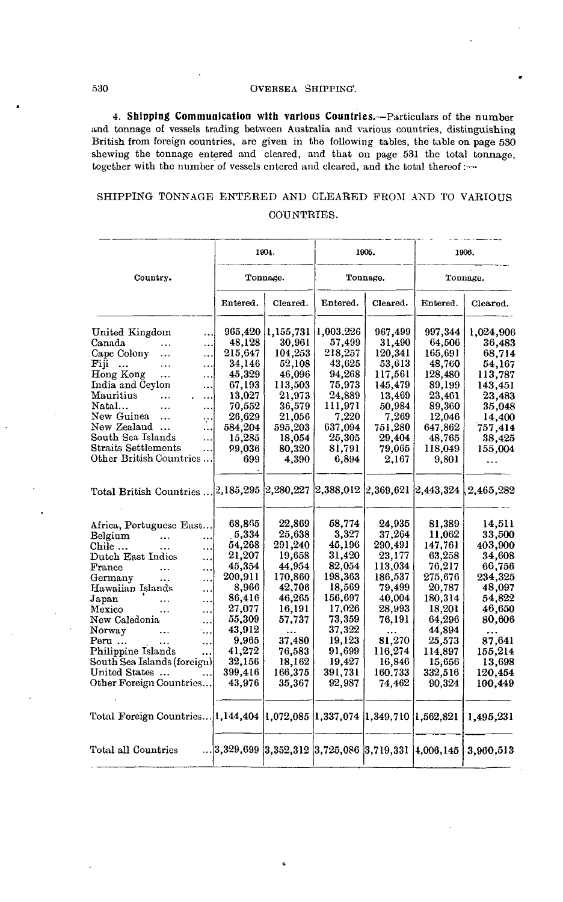**4. Shipping Communication with various Countries.—**Particulars of the number and tonnage of vessels trading between Australia and various countries, distinguishing British from foreign countries, are given in the following tables, the table on page 530 shewing the tonnage entered and cleared, and that on page 531 the total tonnage, together with the number of vessels entered and cleared, and the total thereof:—•

# SHIPPING TONNAGE ENTEBED AND CLEARED FROM AND TO VARIOUS COUNTRIES.

|                                                                                      |                                         | 1904.                 |                     | 1905.             |                   | 1906.               |
|--------------------------------------------------------------------------------------|-----------------------------------------|-----------------------|---------------------|-------------------|-------------------|---------------------|
| Country.                                                                             |                                         | Tonnage.              |                     | Tonnage.          |                   | Tonnage.            |
|                                                                                      | Entered.                                | Cleared.              | Entered.            | Cleared.          | Entered.          | Cleared.            |
| United Kingdom<br>$\ddotsc$<br>Canada                                                | 965,420<br>48,128                       | 1, 155, 731<br>30,961 | 1,003,226<br>57,499 | 967,499<br>31,490 | 997,344<br>64.506 | 1,024,906<br>36,483 |
| .<br>.<br>Cape Colony<br>$\ddotsc$<br>.                                              | 215,647                                 | 104,253               | 218,257             | 120,341           | 165,691           | 68,714              |
| Fiji<br>$\ddotsc$<br><br>$\ddotsc$                                                   | 34,146                                  | 52,108                | 43,625              | 53,613            | 48,760            | 54,167              |
| Hong Kong<br><br>$\ddotsc$                                                           | 45.329                                  | 46,096                | 94,268              | 117,561           | 128,480           | 113,787             |
| India and Ceylon<br>                                                                 | 67,193                                  | 113,503               | 75,973              | 145,479           | 89,199            | 143,451             |
| Mauritius<br>.<br>$\ddotsc$                                                          | 13,027                                  | 21.973                | 24,889              | 13,469            | 23.461            | 23,483              |
| Natal<br><br>                                                                        | 70,552                                  | 36,579                | 111,971             | 50,984            | 89,360            | 35,048              |
| New Guinea<br>.<br>٠.,                                                               | 26,629                                  | 21,056                | 7,220               | 7,269             | 12.046            | 14,400              |
| New Zealand<br>                                                                      | 584,204                                 | 595,203               | 637,094             | 751,280           | 647,862           | 757,414             |
| South Sea Islands<br>$\ddotsc$                                                       | 15,285                                  | 18,054                | 25,305              | 29.404            | 48.765            | 38,425              |
| Straits Settlements<br>.                                                             | 99,036                                  | 80,320                | 81,791              | 79,065            | 118,049           | 155,004             |
| Other British Countries                                                              | 699                                     | 4.390                 | 6,894               | 2.167             | 9,801             | $\ddotsc$           |
|                                                                                      |                                         |                       |                     |                   |                   |                     |
| Total British Countries  2,185,295 2,280,227 2,388,012 2,369,621 2,443,324 2,465,282 |                                         |                       |                     |                   |                   |                     |
|                                                                                      |                                         |                       |                     |                   |                   |                     |
| Africa, Portuguese East                                                              | 68,865                                  | 22,869                | 58,774              | 24.935            | 81.389            | 14,511              |
| Belgium<br>$\ddotsc$                                                                 | 5,334                                   | 25,638                | 3.327               | 37,264            | 11,062            | 33,500              |
| <br>Chile<br>$\ddotsc$<br>                                                           | 54,268                                  | 291,240               | 45,196              | 290.491           | 147.761           | 403.900             |
| Dutch East Indies<br>                                                                | 21,207                                  | 19,658                | 31,420              | 23,177            | 63.258            | 34,608              |
| France<br>$\ddotsc$<br>                                                              | 45,354                                  | 44,954                | 82,054              | 113.034           | 76.217            | 66,756              |
| Germany<br><br>.                                                                     | 200,911                                 | 170,860               | 198,363             | 186,537           | 275,676           | 234,325             |
| Hawaiian Islands<br>$\cdots$                                                         | 8,966                                   | 42,706                | 18,569              | 79,499            | 20,787            | 48,097              |
| ${\rm Japan}$<br>$\cdots$<br>                                                        | 86,416                                  | 46,265                | 156,697             | 40,004            | 180,314           | 54,822              |
| Mexico<br><br>$\ddotsc$                                                              | 27,077                                  | 16,191                | 17,026              | 28,993            | 18,201            | 46,650              |
| New Caledonia<br>$\ddotsc$                                                           | 55,309                                  | 57,737                | 73,359              | 76,191            | 64,296            | 80,606              |
| Norway<br>٠.,<br>$\ddotsc$                                                           | 43,912                                  |                       | 37,322              |                   | 44,894            |                     |
| Peru<br>$\cdots$<br>                                                                 | 9.965                                   | 37,480                | 19,123              | 81,270            | 25,573            | 87,641              |
| Philippine Islands                                                                   | 41,272                                  | 76,583                | 91,699              | 116,274           | 114.897           | 155,214             |
| South Sea Islands (foreign)                                                          | 32,156                                  | 18,162                | 19,427              | 16,846            | 15,656            | 13,698              |
| United States                                                                        | 399,416                                 | 166,375               | 391,731             | 160,733           | 332,516           | 120,454             |
| Other Foreign Countries                                                              | 43,976                                  | 35,367                | 92,987              | 74.462            | 90.324            | 100.449             |
| Total Foreign Countries 1,144,404  1,072,085  1,337,074  1,349,710  1,562,821        |                                         |                       |                     |                   |                   | 1,495,231           |
| Total all Countries                                                                  | 3,329,699 3,352,312 3,725,086 3,719,331 |                       |                     |                   | 4.006, 145        | 3.960,513           |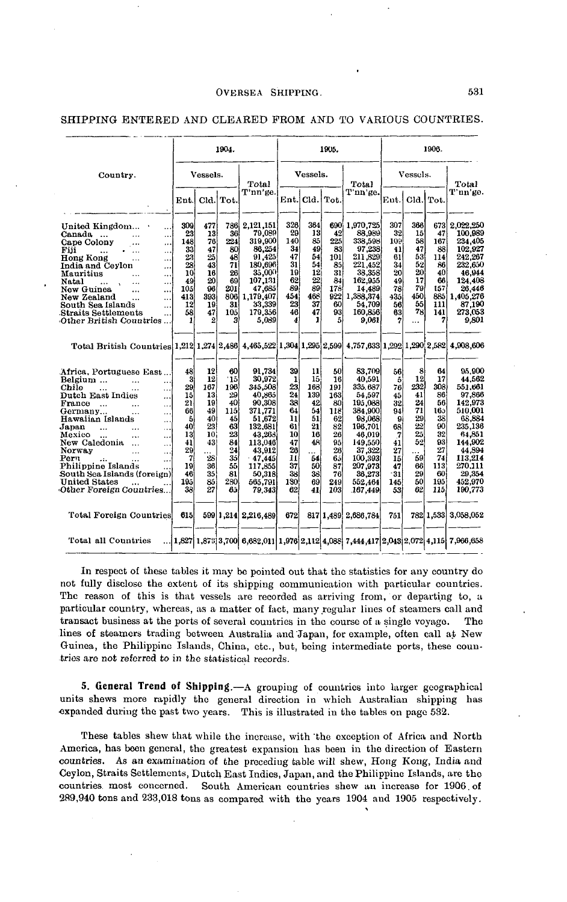|                                                                                                                                                                                                                                                                             |                                                                    |                                                                  | 1904.                                                               |                                                                                                                     |                                                                   |                                                                          | 1905.                                                               |                                                                                                                      |                                                                   |                                                                  | 1906.                                                                 |                                                                                                                        |
|-----------------------------------------------------------------------------------------------------------------------------------------------------------------------------------------------------------------------------------------------------------------------------|--------------------------------------------------------------------|------------------------------------------------------------------|---------------------------------------------------------------------|---------------------------------------------------------------------------------------------------------------------|-------------------------------------------------------------------|--------------------------------------------------------------------------|---------------------------------------------------------------------|----------------------------------------------------------------------------------------------------------------------|-------------------------------------------------------------------|------------------------------------------------------------------|-----------------------------------------------------------------------|------------------------------------------------------------------------------------------------------------------------|
| Country.                                                                                                                                                                                                                                                                    |                                                                    | Vessels.                                                         |                                                                     | $_{\rm Total}$                                                                                                      |                                                                   | Vessels.                                                                 |                                                                     | Total                                                                                                                |                                                                   | Vessels.                                                         |                                                                       | Total                                                                                                                  |
|                                                                                                                                                                                                                                                                             | Ent.                                                               |                                                                  | Cld. Tot.                                                           | T'nn'ge.                                                                                                            | Ent.                                                              | Cld.                                                                     | Tot.                                                                | T'nn'ge.                                                                                                             | Ent.                                                              |                                                                  | Cld. Tot.                                                             | T'un'ge.                                                                                                               |
| United Kingdom<br><br>Canada<br>$\ddot{\phantom{a}}$<br>Cape Colony<br>Fiii<br>$\ddotsc$<br>.<br>Hong Kong<br>Ω.<br>India and Ceylon<br>.,<br>Mauritius<br><br>Natal<br><br>New Guinea<br><br><br>New Zealand<br><br><br>South Sea Islands                                  | 309<br>23<br>148<br>33<br>23<br>28<br>10<br>49<br>105<br>413<br>12 | 477<br>13<br>76<br>47<br>25<br>43<br>16<br>20<br>96<br>393<br>19 | 786<br>36<br>224<br>80<br>48<br>71<br>26<br>69<br>201<br>8061<br>31 | 2.121.151<br>79,089<br>319,900<br>86.254<br>91.425<br>180,696<br>35,000<br>107.131<br>47,685<br>1.179.407<br>33,339 | 326<br>29<br>140<br>34<br>47<br>31<br>19<br>62<br>89<br>454<br>23 | 364<br>13<br>85<br>49<br>54<br>54<br>12<br>22<br>$\bar{89}$<br>468<br>37 | 690<br>42<br>225<br>83<br>101<br>85<br>31<br>84<br>178<br>922<br>60 | 1,970,725<br>88,989<br>338.598<br>97,238<br>211.829<br>221,452<br>38,358<br>162.955<br>14.489<br>1,388,374<br>54.709 | 307<br>32<br>109<br>41<br>61<br>34<br>20<br>49<br>78<br>435<br>56 | 366<br>15<br>58<br>47<br>53<br>52<br>20<br>17<br>79<br>450<br>55 | 673<br>47<br>167<br>88<br>114<br>86<br>40<br>66<br>157<br>885)<br>111 | 2.022.250<br>100.989<br>234,405<br>102,927<br>242.267<br>232,650<br>46,944<br>124.408<br>26,446<br>1,405,276<br>87,190 |
| Straits Settlements<br>Other British Countries<br>Total British Countries 1,212 1,274 2,486 4,465,522 1,304 1,295 2,599 4,757,633 1,292 1,290 2,582                                                                                                                         | 58<br>1                                                            | 47<br>2                                                          | 105<br>з                                                            | 179,356<br>5.089                                                                                                    | 46<br>4                                                           | 47<br>1                                                                  | 93<br>5                                                             | 160,856<br>9.061                                                                                                     | 63<br>7                                                           | 78<br>                                                           | 141<br>7.                                                             | 273,053<br>9,801<br>4,908,606                                                                                          |
|                                                                                                                                                                                                                                                                             |                                                                    |                                                                  |                                                                     |                                                                                                                     |                                                                   |                                                                          |                                                                     |                                                                                                                      |                                                                   |                                                                  |                                                                       |                                                                                                                        |
| Africa. Portuguese East<br>Belgium<br><br>.<br>Chile<br><br>.<br>Dutch East Indies<br>$\ddotsc$<br>France<br>$\ddotsc$<br>.<br>Germany<br>$\ddotsc$<br>Hawaiian Islands<br>$\ddotsc$<br>Japan<br>$\ddotsc$<br>$\cdots$<br>Mexico<br>New Caledonia<br>$\ddotsc$<br>$\ddotsc$ | 48<br>8<br>29<br>15<br>21<br>66<br>5<br>40<br>13<br>41             | 12<br>12<br>167<br>13<br>19<br>49<br>40<br>23<br>10<br>43        | 60<br>Ίõ<br>196<br>29<br>40<br><b>115</b><br>45<br>63<br>23<br>84   | 91.734<br>30,972<br>345,508<br>40.865<br>90.308<br>371.771<br>51,672<br>132,681<br>43.263<br>113,046                | 39<br>ı<br>23<br>24<br>38<br>64<br>11<br>61<br>10<br>47           | 11<br>15<br>168<br>139<br>42<br>54<br>51<br>21<br>16<br>48               | 50<br>16<br>191<br>163<br>80<br>118<br>62<br>82<br>26<br>95         | 83,709<br>40.591<br>335 687<br>54.597<br>195.088<br>384,900<br>98,068<br>196.701<br>46.019<br>149,550                | 56<br>5<br>76<br>45<br>32<br>94<br>9<br>68<br>7<br>41             | 8<br>12<br>232<br>41<br>24<br>71<br>29<br>$^{22}$<br>25<br>52    | 64<br>17<br>308.<br>86<br>56<br>165<br>38<br>90<br>32<br>93           | 95,900<br>44,562<br>551.661<br>97,866<br>142,973<br>510.001<br>68.884<br>235,136<br>64,851<br>144.902                  |
| Norway<br>.<br>$\ddotsc$<br>Pern<br>Philippine Islands<br>South Sea Islands (foreign)                                                                                                                                                                                       | 29<br>7<br>19<br>46                                                | .<br>28<br>36<br>35                                              | 24<br>35<br>55<br>81                                                | 43.912<br>$-47.445$<br>117.855<br>50.318                                                                            | 26<br>11<br>37<br>38                                              | .<br>54<br>50<br>38                                                      | 28<br>65<br>87<br>76                                                | 37.322<br>100.393<br>207,973<br>36.273                                                                               | 27<br>15<br>47<br>31                                              | .<br>59<br>66<br>29                                              | 27<br>74<br>113<br>60                                                 | 44.894<br>113,214<br>270.111<br>29.354                                                                                 |
| United States<br>Other Foreign Countries                                                                                                                                                                                                                                    | 195<br>38                                                          | 85<br>27                                                         | 280<br>85                                                           | 565,791<br>79.343                                                                                                   | 180<br>62                                                         | 69<br>41                                                                 | 249<br>103                                                          | 552.464<br>167,449                                                                                                   | 145<br>53                                                         | 50<br>62                                                         | 195<br>1151                                                           | 452.970<br>190,773                                                                                                     |
| <b>Total Foreign Countries</b>                                                                                                                                                                                                                                              | 615                                                                |                                                                  |                                                                     | 599 1,214 2,216,489                                                                                                 | 672                                                               |                                                                          |                                                                     | 817 1,489 2,686,784                                                                                                  | 751                                                               |                                                                  | 782 1.533                                                             | 3.058.052                                                                                                              |
| Total all Countries                                                                                                                                                                                                                                                         |                                                                    |                                                                  |                                                                     | $(1,827   1,873   3,700   6,682,011   1,976   2,112   4,088   7,444,417   2,043   2,072   4,115)$                   |                                                                   |                                                                          |                                                                     |                                                                                                                      |                                                                   |                                                                  |                                                                       | 7,966,658                                                                                                              |

# SHIPPING ENTERED AND CLEARED FROM AND TO VARIOUS COUNTRIES.

In respect of these tables it may be pointed out that the statistics for any country do not fully disclose the extent of its shipping communication with particular countries. The reason of this is that vessels are recorded as arriving from, or departing to, a particular country, whereas, as a matter of fact, many regular lines of steamers call and transact business at the ports of several countries in the course of a single voyage. The lines of steamers trading between Australia and Japan, for example, often call at New Guinea, the Philippine Islands, China, etc., but, being intermediate ports, these countries are not referred to in the statistical records.

**5. General Trend of Shipping.**—A grouping of countries into larger geographical units shews more rapidly the general direction in which Australian shipping has expanded during the past two years. This is illustrated in the tables on page 532.

These tables shew that while the increase, with 'the exception of Africa and North America, has been general, the greatest expansion has been in the direction of Eastern countries. As an examination of the preceding table will shew, Hong Kong, India and Ceylon, Straits Settlements, Dutch East Indies, Japan, and the Philippine Islands, are the countries most concerned. South American countries shew an increase for 1906. of 289,940 tons and 233,018 tons as compared with the years 1904 and 1905 respectively.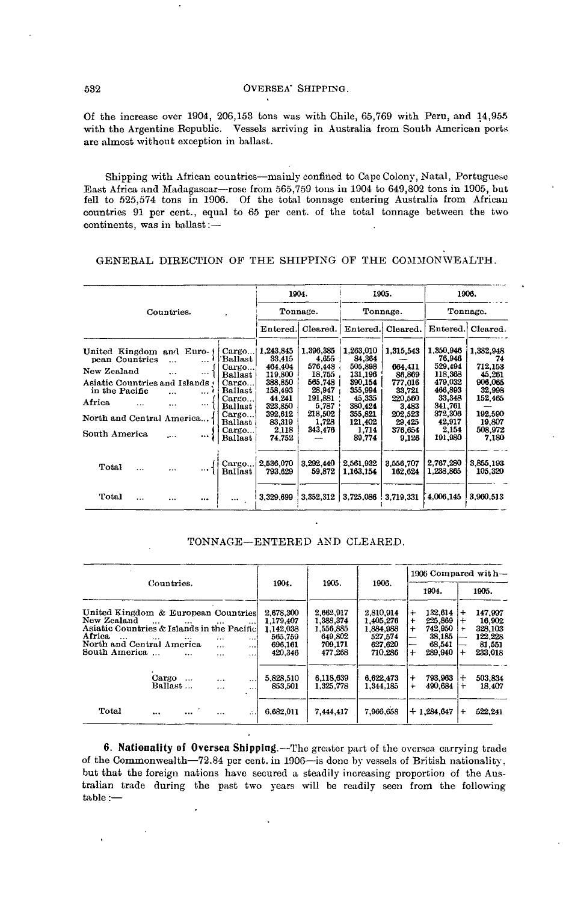Of the increase over 1904, 206,153 tons was with Chile, 65,769 with Peru, and 14,955 with the Argentine Republic. Vessels arriving in Australia from South American ports are almost without exception in ballast.

Shipping with African countries—mainly confined to Cape Colony, Natal, Portuguese East Africa and Madagascar—rose from 565,759 tons in 1904 to 649,802 tons in 1905, but fell to 525,574 tons in 1906. Of the total tonnage entering Australia from African countries 91 per cent., equal to 65 per cent, of the total tonnage between the two continents, was in ballast:—

# GENERAL DIRECTION OP THE SHIPPING OP THE COMMONWEALTH.

|                                                                                                                                                                                                                                                                                                                                                                                                           |                                                                                                                              | 1904.<br>1905.                                                                                                  |                                                                                                                               |                                                                                                                  | 1906.                                                                                                                         |                                                                                                               |
|-----------------------------------------------------------------------------------------------------------------------------------------------------------------------------------------------------------------------------------------------------------------------------------------------------------------------------------------------------------------------------------------------------------|------------------------------------------------------------------------------------------------------------------------------|-----------------------------------------------------------------------------------------------------------------|-------------------------------------------------------------------------------------------------------------------------------|------------------------------------------------------------------------------------------------------------------|-------------------------------------------------------------------------------------------------------------------------------|---------------------------------------------------------------------------------------------------------------|
| Countries.                                                                                                                                                                                                                                                                                                                                                                                                |                                                                                                                              | Tonnage.                                                                                                        |                                                                                                                               | Tonnage.                                                                                                         |                                                                                                                               | Tonnage.                                                                                                      |
|                                                                                                                                                                                                                                                                                                                                                                                                           | Entered.                                                                                                                     | Cleared.                                                                                                        | Entered.                                                                                                                      | Cleared.                                                                                                         | Entered.                                                                                                                      | Cleared.                                                                                                      |
| United Kingdom and Euro-<br>Cargo<br>Ballast<br>pean Countries<br>$\cdots$<br>$\ddotsc$<br>Cargo<br>New Zealand<br><br>$\ddotsc$<br>Ballast<br>Asiatic Countries and Islands<br>Cargo<br>in the Pacific<br>Ballast<br>$\overline{a}$<br>$\cdots$<br>Cargo<br>Africa<br>$\cdots$<br><br>$\cdots$<br>Ballast<br>Cargo<br>North and Central America<br>Ballast<br>Cargo<br>South America<br><br>)<br>Ballast | 1,243,845<br>33,415<br>464.404<br>119,800<br>388,850<br>158.493<br>44.241<br>323,850<br>392,612<br>83,319<br>2,118<br>74.752 | 1,396,385<br>4,655<br>576,448<br>18,755<br>565.748<br>28,947<br>191.881<br>5,787<br>218.502<br>1,728<br>343,476 | 1.263,010<br>84,364<br>505.898<br>131,196<br>390.154<br>355,994<br>45,335<br>380,424<br>355,821<br>121.402<br>1,714<br>89,774 | 1.315.543<br>664.411<br>86,869<br>777,016<br>33.721<br>220.560<br>3,483<br>202.523<br>29.425<br>376.654<br>9.126 | 1.350,946<br>76,946<br>529.494<br>118,368<br>479,032<br>466,893<br>33,348<br>341,761<br>372,306<br>42,917<br>2,154<br>191,980 | 1,382,948<br>74<br>712,153<br>45,261<br>906,065<br>32,998<br>152,465<br>192,590<br>19.807<br>508,972<br>7,180 |
| Cargo<br>Total<br>$\ddotsc$<br><br>Ballast<br>Total                                                                                                                                                                                                                                                                                                                                                       | 2,536,070<br>793,629<br>3,329,699                                                                                            | 3,292,440<br>59,872<br>3,352,312                                                                                | 2,561,932<br>1,163,154<br>3,725,086                                                                                           | 3,556,707<br>162,624<br>3,719,331                                                                                | 2.767.280<br>1,238,865<br>4,006,145                                                                                           | 3,855,193<br>105,320<br>3.960,513                                                                             |

### TONNAGE—ENTERED AND CLEARED.

|                                                                                                                                                           |                                      |                                       |                                               | 1904.                                                                |                                                                      |                                                                      | 1906 Compared with-                                    |                                                              |                     |                                                              |
|-----------------------------------------------------------------------------------------------------------------------------------------------------------|--------------------------------------|---------------------------------------|-----------------------------------------------|----------------------------------------------------------------------|----------------------------------------------------------------------|----------------------------------------------------------------------|--------------------------------------------------------|--------------------------------------------------------------|---------------------|--------------------------------------------------------------|
|                                                                                                                                                           | Countries.                           |                                       |                                               |                                                                      | 1905.                                                                | 1906.                                                                | 1904.                                                  |                                                              | 1905.               |                                                              |
| United Kingdom & European Countries<br>New Zealand<br>Asiatic Countries & Islands in the Pacific<br>Africa.<br>North and Central America<br>South America | $\cdots$<br><br>$\cdots$<br>$\cdots$ | $\cdots$<br>.<br>$\cdots$<br>$\cdots$ | $\cdots$<br>$\cdots$<br>$\cdots$<br>$\ddotsc$ | 2.678.300<br>1.179.407<br>1.142.038<br>565,759<br>696.161<br>420.346 | 2.662.917<br>1,388,374<br>1.556.885<br>649,802<br>709.171<br>477.268 | 2,810,914<br>1.405.276<br>1.884.988<br>527.574<br>627.620<br>710.286 | $\ddot{}$<br>$\ddot{}$<br>$\ddot{}$<br>--<br>--<br>$+$ | 132,614<br>225,869<br>742,950<br>38,185<br>68.541<br>289,940 | $\div$<br>$1+$<br>÷ | 147.997<br>16.902<br>328,103<br>122.228<br>81.551<br>233.018 |
|                                                                                                                                                           | Cargo<br>Ballast                     | $\cdots$<br>$\cdots$                  | $\ddotsc$<br>                                 | 5.828.510<br>853.501                                                 | 6.118.639<br>1.325.778                                               | 6,622,473<br>1.344.185                                               | $\ddot{}$<br>$\ddot{}$                                 | 793,963<br>490.684                                           | $+$                 | 503.834<br>18.407                                            |
| Total                                                                                                                                                     | <br>$\cdots$                         | $\cdots$                              | $\ddotsc$                                     | 6.682.011                                                            | 7.444.417                                                            | 7,966,658                                                            |                                                        | $+1.284.647$                                                 | $\div$              | 522.241                                                      |

**6. Nationality of Oversea Shipping.**—The greater part of the oversea carrying trade of the Commonwealth—72.84 per cent, in 1906—is done by vessels of British nationality, but that the foreign nations have secured a steadily increasing proportion of the Australian trade during the past two years will be readily seen from the following table :—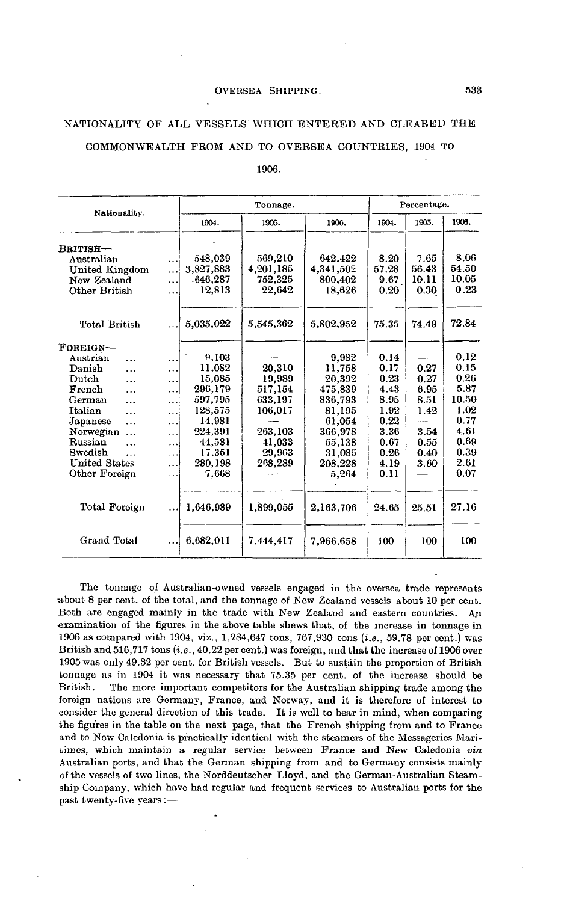# NATIONALITY OF ALL VESSELS WHICH ENTERED AND CLEARED THE

# COMMONWEALTH PROM AND TO OVERSEA COUNTRIES, 1904 TO

1906.

| Nationality.                                                                                                                                                                                                                                                                       |                                                     |                                                                                                                         | Tonnage.                                                                                    |                                                                                                                        |                                                                                              | Percentage.                                                          |                                                                                               |
|------------------------------------------------------------------------------------------------------------------------------------------------------------------------------------------------------------------------------------------------------------------------------------|-----------------------------------------------------|-------------------------------------------------------------------------------------------------------------------------|---------------------------------------------------------------------------------------------|------------------------------------------------------------------------------------------------------------------------|----------------------------------------------------------------------------------------------|----------------------------------------------------------------------|-----------------------------------------------------------------------------------------------|
|                                                                                                                                                                                                                                                                                    |                                                     | 1904.                                                                                                                   | 1905.                                                                                       | 1906.                                                                                                                  | 1904.                                                                                        | 1905.                                                                | 1906.                                                                                         |
| BRITISH-<br>Australian<br>United Kingdom<br>New Zealand<br>Other British                                                                                                                                                                                                           | <br><br><br>                                        | 548.039<br>3.827,883<br>.646.287<br>12,813                                                                              | 569,210<br>4,201,185<br>752,325<br>22,642                                                   | 642.422<br>4,341,502<br>800.402<br>18,626                                                                              | 8.20<br>57.28<br>9.67<br>0.20                                                                | 7.65<br>56.43<br>10.11<br>0.30                                       | 8.06<br>54.50<br>10.05<br>0.23                                                                |
| <b>Total British</b>                                                                                                                                                                                                                                                               |                                                     | 5,035,022                                                                                                               | 5.545.362                                                                                   | 5,802,952                                                                                                              | 75.35                                                                                        | 74.49                                                                | 72.84                                                                                         |
| FOREIGN-<br>Austrian<br>$\cdots$<br>Danish<br>.<br>Dutch<br>$\cdots$<br>French<br>$\cdots$<br>German<br>$\ddotsc$<br><b>Italian</b><br>$\cdots$<br>Japanese<br>$\cdots$<br>Norwegian<br>$\ddotsc$<br>Russian<br>.<br>Swedish<br>$\ddotsc$<br><b>United States</b><br>Other Foreign | <br>.<br><br><br>.<br>.<br><br>.<br>.<br>.<br><br>. | 9.103<br>11.082<br>15,085<br>296,179<br>597.795<br>128,575<br>14.981<br>224.391<br>44,581<br>17.351<br>280,198<br>7.668 | 20.310<br>19.989<br>517,154<br>633.197<br>106,017<br>263,103<br>41,033<br>29,963<br>268,289 | 9.982<br>11,758<br>20,392<br>475,839<br>836.793<br>81,195<br>61,054<br>366.978<br>55,138<br>31,085<br>208,228<br>5,264 | 0.14<br>0.17<br>0.23<br>4.43<br>8.95<br>1.92<br>0.22<br>3.36<br>0.67<br>0.26<br>4.19<br>0.11 | 0.27<br>0.27<br>6.95<br>8.51<br>1.42<br>3.54<br>0.55<br>0.40<br>3.60 | 0.12<br>0.15<br>0.26<br>5.87<br>10.50<br>1.02<br>0.77<br>4.61<br>0.69<br>0.39<br>2.61<br>0.07 |
| Total Foreign                                                                                                                                                                                                                                                                      |                                                     | 1,646,989                                                                                                               | 1,899,055                                                                                   | 2,163,706                                                                                                              | 24.65                                                                                        | 25.51                                                                | 27.16                                                                                         |
| Grand Total                                                                                                                                                                                                                                                                        |                                                     | 6.682,011                                                                                                               | 7,444,417                                                                                   | 7,966,658                                                                                                              | 100                                                                                          | 100                                                                  | 100                                                                                           |

The tonnage of Australian-owned vessels engaged in the oversea trade represents about 8 per cent, of the total, and the tonnage of New Zealand vessels about 10 per cent. Both are engaged mainly in the trade with New Zealand and eastern countries. An examination of the figures in the above table shews that, of the increase in tonnage in 1906 as compared with 1904, viz., 1,284,647 tons, 767,930 tons *(i.e.,* 59.78 per cent.) was British and 516,717 tons *(i.e.,* 40.22 percent.) was foreign, and that the increase of 1906 over 1905 was only 49.32 per cent, for British vessels. But to sustain the proportion of British tonnage as in 1904 it was necessary that 75.35 per cent, of the increase should be British. The more important competitors for the Australian shipping trade among the foreign nations are Germany, France, and Norway, and it is therefore of interest to consider the general direction of this trade. It is well to bear in mind, when comparing the figures in the table on the next page, that the French shipping from and to France and to New Caledonia is practically identical with the steamers of the Messageries Mantimes, which maintain a regular service between France and New Caledonia *via* Australian ports, and that the German shipping from and to Germany consists mainly of the vessels of two lines, the Norddeutscher Lloyd, and the German-Australian Steamship Company, which have had regular and frequent services to Australian ports for the past twenty-five years:—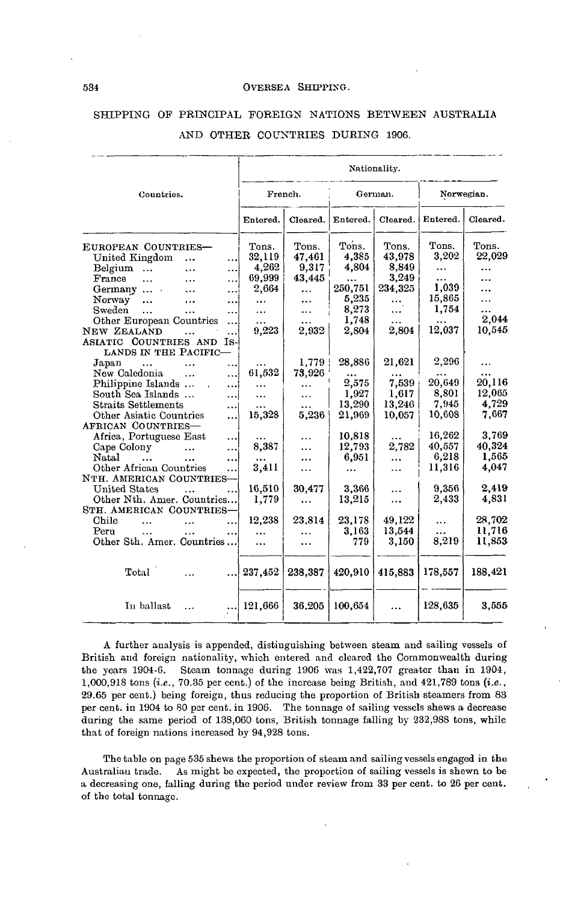|                                                                                                                                                                                                                                                                                                                                                             |                                                                      |                                                                                   |                                                                                    | Nationality.                                                            |                                                                                    |                                                                         |
|-------------------------------------------------------------------------------------------------------------------------------------------------------------------------------------------------------------------------------------------------------------------------------------------------------------------------------------------------------------|----------------------------------------------------------------------|-----------------------------------------------------------------------------------|------------------------------------------------------------------------------------|-------------------------------------------------------------------------|------------------------------------------------------------------------------------|-------------------------------------------------------------------------|
| Countries.                                                                                                                                                                                                                                                                                                                                                  |                                                                      | French.                                                                           |                                                                                    | German.                                                                 |                                                                                    | Norwegian.                                                              |
|                                                                                                                                                                                                                                                                                                                                                             | Entered.                                                             | Cleared.                                                                          | Entered.                                                                           | Cleared.                                                                | Entered.                                                                           | Cleared.                                                                |
| EUROPEAN COUNTRIES-<br>United Kingdom<br>$\cdots$<br><br>Belgium<br>$\ddotsc$<br><br>France<br>$\ddotsc$<br><br>.<br>Germany<br><br><br>Norway<br>$\ddotsc$<br>.<br><br>Sweden<br>$\ddotsc$<br>$\cdots$<br>.<br>Other European Countries<br><br>NEW ZEALAND<br><br>ASIATIC COUNTRIES AND<br>- Is<br>LANDS IN THE PACIFIC-                                   | Tons.<br>32,119<br>4,262<br>69,999<br>2,664<br>$\cdots$<br><br>9,223 | Tons.<br>47,461<br>9,317<br>43,445<br><br><br><br>2,932                           | Tons.<br>4,385<br>4,804<br>$\cdots$<br>250,751<br>5,235<br>8,273<br>1,748<br>2,804 | Tons.<br>43,978<br>8,849<br>3,249<br>234,325<br><br>.<br>.<br>2.804     | Tons.<br>3,202<br>$\ddotsc$<br><br>1,039<br>15,865<br>1.754<br>12,037              | Tons.<br>22,029<br><br>.<br><br>2.044<br>10,545                         |
| Japan<br>$\ddotsc$<br>$\cdots$<br><br>New Caledonia<br>$\cdots$<br>.<br>Philippine Islands<br><br>South Sea Islands<br>$\cdots$<br><b>Straits Settlements</b><br><br>Other Asiatic Countries<br><br>AFRICAN COUNTRIES-<br>Africa, Portuguese East<br><br>Cape Colony<br><br><br>Natal<br>$\ddotsc$<br>$\ddotsc$<br>$\ddotsc$<br>Other African Countries<br> | 61,532<br><br>.<br><br>15.328<br>8,387<br>3,411                      | 1,779<br>73,926<br><br>$\ddotsc$<br>$\ddotsc$<br>5.236<br>.<br>.<br>$\cdots$<br>. | 28,886<br>2,575<br>1,927<br>13,290<br>21.969<br>10,818<br>12,793<br>6,951<br>.     | 21,621<br>7.539<br>1.617<br>13,246<br>10,057<br>2,782<br>$\ddotsc$<br>. | 2,296<br>20.649<br>8,801<br>7,945<br>10,608<br>16,262<br>40,557<br>6,218<br>11,316 | 20.116<br>12,065<br>4.729<br>7,667<br>3,769<br>40.324<br>1,565<br>4,047 |
| NTH. AMERICAN COUNTRIES-<br><b>United States</b><br>$\ddotsc$<br>Other Nth. Amer. Countries<br>STH. AMERICAN COUNTRIES-<br>Chile<br>$\ddotsc$<br>Peru<br>$\ddotsc$<br>Other Sth. Amer. Countries                                                                                                                                                            | 16,510<br>1,779<br>12,238<br><br>$\ddotsc$                           | 30,477<br>$\ddotsc$<br>23,814<br><br>                                             | 3,366<br>13,215<br>23,178<br>3,163<br>779                                          | .<br><br>49,122<br>13,544<br>3,150                                      | 9,356<br>2,433<br><br>$\cdots$<br>8,219                                            | 2.419<br>4,831<br>28,702<br>11,716<br>11,853                            |
| Total                                                                                                                                                                                                                                                                                                                                                       | 237,452                                                              | 238,387                                                                           | 420,910                                                                            | 415,883                                                                 | 178,557                                                                            | 188,421                                                                 |
| In ballast<br>$\cdots$                                                                                                                                                                                                                                                                                                                                      | 121,666                                                              | 36.205                                                                            | 100,654                                                                            |                                                                         | 128,635                                                                            | 3,555                                                                   |

# SHIPPING OP PRINCIPAL FOREIGN NATIONS BETWEEN AUSTRALIA AND OTHER COUNTRIES DURING 1906.

A further analysis is appended, distinguishing between steam and sailing vessels of British and foreign nationality, which entered and cleared the Commonwealth during the years 1904-6. Steam tonnage during 1906 was 1,422,707 greater than in 1904, 1,000,918 tons *(i.e.,* 70.35 per cent.) of the increase being British, and 421,789 tons *(i.e.,* 29.65 per cent.) being foreign, thus reducing the proportion of British steamers from 83 per cent, in 1904 to 80 per cent, in 1906. The tonnage of sailing vessels shews a decrease during the same period of 138,060 tons, British tonnage falling by 232,988 tons, while that of foreign nations increased by 94,928 tons.

The table on page 535 shews the proportion of steam and sailing vessels engaged in the Australian trade. As might be expected, the proportion of sailing vessels is shewn to be a decreasing one, falling during the period under review from 33 per cent, to 26 per cent, of the total tonnage.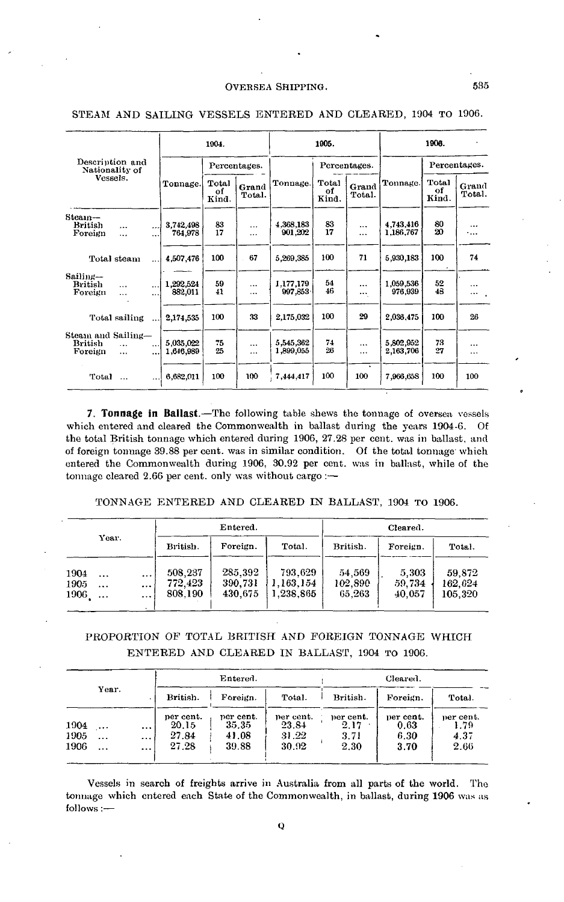|                                          |                          |                       |                        | 1904.                |                      |                        | 1905.                |                             |                        | 1906.                |                 |
|------------------------------------------|--------------------------|-----------------------|------------------------|----------------------|----------------------|------------------------|----------------------|-----------------------------|------------------------|----------------------|-----------------|
| Description and<br>Nationality of        |                          |                       |                        |                      | Percentages.         |                        |                      | Percentages.                |                        |                      | Percentages.    |
| Vessels.                                 |                          |                       | Tonnage.               | Total<br>of<br>Kind. | Grand<br>Total.      | Tonnage.               | Total<br>of<br>Kind. | Grand<br>Total.             | Tonnage.               | Total<br>of<br>Kind. | Grand<br>Total. |
| Steam-<br><b>British</b><br>Foreign      | $\ddot{\phantom{a}}$<br> | <br>                  | 3,742,498<br>764,978   | 83<br>17             | $\cdots$<br>         | 4,368,183<br>901,202   | 83<br>17             | <br>$\cdots$                | 4.743.416<br>1,186,767 | 80<br>20             | <br>٠           |
|                                          | Total steam              |                       | 4,507,476              | 100                  | 67                   | 5,269,385              | 100                  | 71                          | 5,930,183              | 100                  | 74              |
| Sailing-<br>British<br>Foreign           | $\cdots$<br>             | $\cdots$<br>$\ddotsc$ | 1,292,524<br>882,011   | 59<br>41             | $\cdots$<br>$\cdots$ | 1.177,179<br>997,853   | 54<br>46             | $\cdots$<br>$\cdots$        | 1.059,536<br>976,939   | 52<br>48             |                 |
|                                          | Total sailing            |                       | 2,174,535              | 100                  | 33                   | 2,175,032              | 100                  | 29                          | 2,036,475              | 100                  | 26              |
| Steam and Sailing-<br>British<br>Foreign | $\ddotsc$<br>$\cdots$    | $\cdots$<br>$\ddotsc$ | 5,035,022<br>1,646,989 | 75<br>25             | <br>                 | 5,545,362<br>1,899,055 | 74<br>26             | <br>                        | 5,802,952<br>2,163,706 | 73<br>27             | $\cdots$<br>    |
| Total                                    | $\cdots$                 |                       | 6,682,011              | 100                  | 100                  | 7,444,417              | 100                  | $\ddot{\phantom{1}}$<br>100 | 7,966,658              | 100                  | 100             |

### STEAM AND SAILING VESSELS ENTERED AND CLEARED, 1904 TO 1906.

**7. Tonnage in Ballast.**—The following table shews the tonnage of oversea vessels which entered and cleared the Commonwealth in ballast during the years 1904-6. Of the total British tonnage which entered during 1906, 27.28 per cent, was in ballast, and of foreign tonnage 39.88 per cent, was in similar condition. Of the total tonnage which entered the Commonwealth during 1906. 30.92 per cent, was in ballast, while of the tonnage cleared 2.66 per cent, only was without cargo : $-$ 

TONNAGE ENTERED AND CLEARED IN BALLAST, 1904 TO 1906.

| Year.                                              |                  |                               | Entered.                      |                                   | Cleared.                    |                           |                              |  |  |
|----------------------------------------------------|------------------|-------------------------------|-------------------------------|-----------------------------------|-----------------------------|---------------------------|------------------------------|--|--|
|                                                    |                  | British.                      | Foreign.                      | Total.                            | British.                    | Foreign.                  | Total.                       |  |  |
| 1904<br>$\ddotsc$<br>1905<br>$\ddotsc$<br>1906<br> | <br><br>$\cdots$ | 508.237<br>772.423<br>808.190 | 285,392<br>390.731<br>430.675 | 793.629<br>1.163.154<br>1.238.865 | 54,569<br>102,890<br>65,263 | 5.303<br>59,734<br>40.057 | 59,872<br>162.624<br>105,320 |  |  |

# PROPORTION OF TOTAL BRITISH AND FOREIGN TONNAGE WHICH ENTERED AND CLEARED IN BALLAST, 1904 TO 1906.

|                      |                          |                          |                                      | Entered.                             |                                      | Cleared.                          |                                   |                                   |  |  |
|----------------------|--------------------------|--------------------------|--------------------------------------|--------------------------------------|--------------------------------------|-----------------------------------|-----------------------------------|-----------------------------------|--|--|
|                      | Year.                    |                          | British.                             | Foreign.                             | Total.                               | British.                          | Foreign.                          | Total.                            |  |  |
| 1904<br>1905<br>1906 | <br>$\cdots$<br>$\cdots$ | $\cdots$<br>$\cdots$<br> | per cent.<br>20.15<br>27.84<br>27.28 | per cent.<br>35.35<br>41.08<br>39.88 | per cent.<br>23.84<br>31.22<br>30.92 | per cent.<br>2.17<br>3.71<br>2.30 | per cent.<br>0.63<br>6.30<br>3.70 | per cent.<br>1.79<br>4.37<br>2.66 |  |  |

Vessels in search of freights arrive in Australia from all parts of the world. The tonnage which entered each State of the Commonwealth, in ballast, during 1906 was as follows :—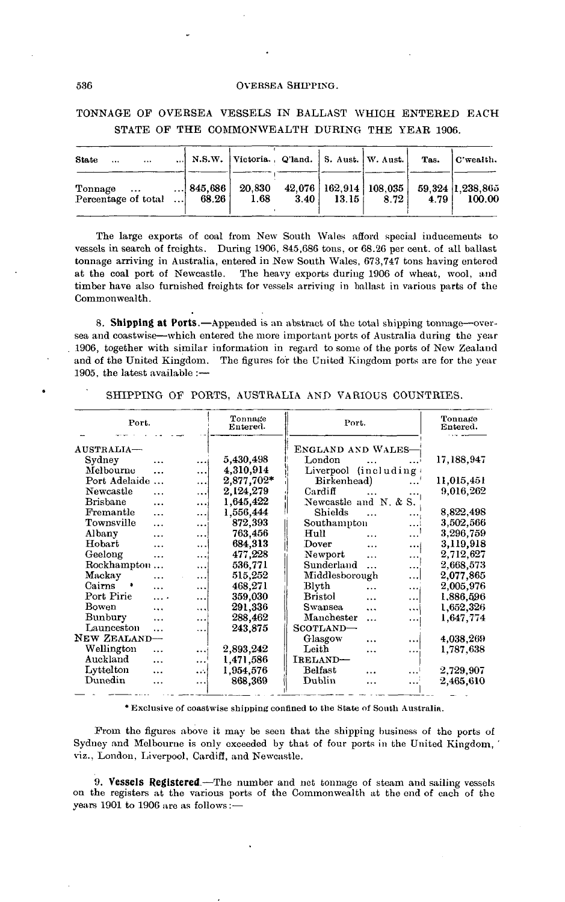TONNAGE OF OVERSEA VESSELS IN BALLAST WHICH ENTERED EACH STATE OF THE COMMONWEALTH DURING THE YEAR 1906.

| <b>State</b><br>$\cdots$       | $\cdots$ |                                  | N.S.W. Victoria., Q'land.   S. Aust.   W. Aust. |      |                    |                                        | Tas.  | C'wealth.                  |
|--------------------------------|----------|----------------------------------|-------------------------------------------------|------|--------------------|----------------------------------------|-------|----------------------------|
| Tonnage<br>Percentage of total | $\cdots$ | <br>$\dots$   845.686  <br>68.26 | 20,830<br>1.68                                  | 3.40 | 13.15 <sup>1</sup> | $42,076$   162,914   108,035  <br>8.72 | 4.791 | 59.324 1.238,865<br>100.00 |

The large exports of coal from New South Wales afford special inducements to vessels in search of freights. During 1906, 845,686 tons, or 68.26 per cent, of all ballast tonnage arriving in Australia, entered in New South Wales, 673,747 tons having entered at the coal port of Newcastle. The heavy exports during 1906 of wheat, wool, and timber have also furnished freights for vessels arriving in ballast in various parts of the Commonwealth.

**8. Shipping at Ports.**—Appended is an abstract of the total shipping tonnage—oversea and coastwise—which entered the more important ports of Australia during the year 1906, together with similar information in regard to some of the ports of New Zealand and of the United Kingdom. The figures for the United Kingdom ports are for the year 1905, the latest available :—

| Port.                    |           | Tonnage<br>Entered. | Port.                                   | Tonnage<br>Entered. |
|--------------------------|-----------|---------------------|-----------------------------------------|---------------------|
| AUSTRALIA-               |           |                     | ENGLAND AND WALES-                      |                     |
| Sydney<br>.              | $\cdots$  | 5,430,498           | London                                  | 17,188,947          |
| Melbourne<br>.           |           | 4,310,914           | Liverpool (including)                   |                     |
| Port Adelaide            |           | 2,877,702*          | Birkenhead)                             | 11,015,451          |
| Newcastle<br>$\ddotsc$   | $\ddotsc$ | 2.124,279           | Cardiff                                 | 9,016,262           |
| <b>Brishane</b><br>.     |           | 1,645,422           | Newcastle and N. & S.                   |                     |
| Fremantle<br>$\ddotsc$   |           | 1.556,444           | Shields<br>$\cdots$                     | 8,822,498           |
| Townsville<br>$\ddotsc$  | $\ddotsc$ | 872,393             | Southampton<br>.                        | 3,502,566           |
| Albany<br>.              | $\ddotsc$ | 763,456             | Hull<br>$\cdots$<br>$\ddotsc$           | 3,296.759           |
| Hobart<br>               | $\ddotsc$ | 684,313             | Dover<br>$\ddotsc$<br>$\cdots$          | 3,119,918           |
| Geelong<br>              | $\cdots$  | 477.228             | Newport<br>$\ddotsc$<br>.               | 2,712,627           |
| Rockhampton<br>$\ddotsc$ | $\cdots$  | 536,771             | Sunderland<br>$\ddotsc$<br>$\cdots$     | 2,668,573           |
| Mackay<br>               |           | 515,252             | Middlesborough<br>اءءء                  | 2,077,865           |
| Cairns<br>٠<br>$\cdots$  |           | 468,271             | Blyth<br>$\ddotsc$<br>                  | 2,005,976           |
| Port Pirie<br>$\cdots$   |           | 359,030             | <b>Bristol</b><br>$\cdots$<br>          | 1,886,596           |
| Bowen<br>$\cdots$        | $\ddotsc$ | 291,336             | <b>Swansea</b><br>$\ddotsc$<br>$\cdots$ | 1,652,326           |
| Bunbury<br>              | $\ddotsc$ | 288,462             | Manchester<br>$\ddotsc$<br>             | 1,647,774           |
| Launceston<br>$\ddotsc$  | .         | 243,875             | SCOTLAND-                               |                     |
| NEW ZEALAND-             |           |                     | Glasgow<br>$\cdots$                     | 4,038,269           |
| Wellington<br>$\ddotsc$  | $\cdots$  | 2,893,242           | Leith<br>$\ddotsc$<br>                  | 1,787,638           |
| Auckland<br>$\cdots$     | $\ddotsc$ | 1,471,586           | IRELAND-                                |                     |
| Lyttelton<br>            | $\ddotsc$ | 1,954,576           | Belfast<br>$\cdots$<br>$\ddotsc$        | 2,729,907           |
| Dunedin<br>.             |           | 868,369             | Dublin<br>$\cdots$                      | 2,465,610           |
|                          | .         |                     |                                         |                     |

SHIPPING OF PORTS, AUSTRALIA AND VARIOUS COUNTRIES.

\* Exclusive of coastwise shipping confined to the State of South Australia.

From the figures above it may be seen that the shipping business of the ports of Sydney and Melbourne is only exceeded by that of four ports in the United Kingdom, ' viz., London, Liverpool, Cardiff, and Newcastle.

**9. Vessels Registered.**—The number and net tonnage of steam and sailing vessels on the registers at the various ports of the Commonwealth at the end of each of the years 1901 to 1906 are as follows:—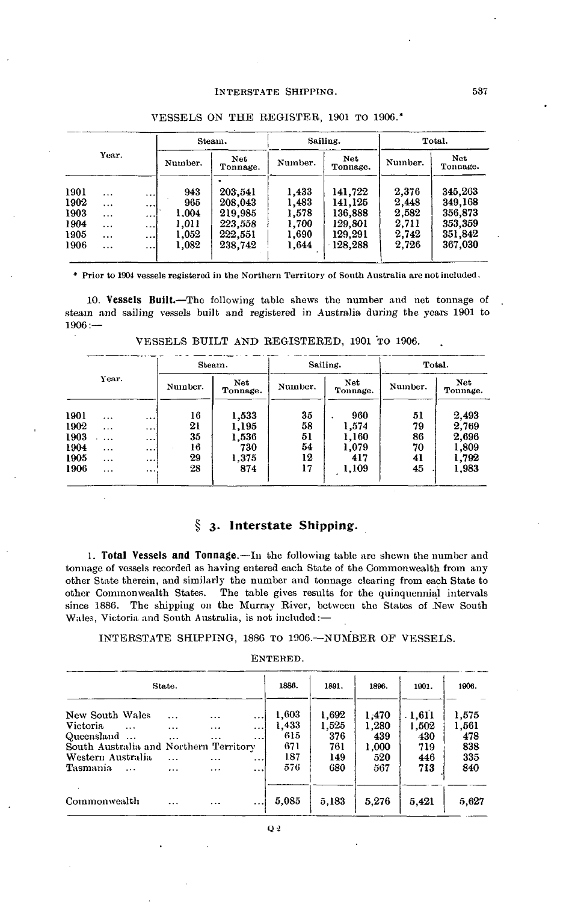### INTERSTATE SHIPPING.

|      |           |          |         | Steam.                 |         | Sailing.               | Total.  |                  |  |
|------|-----------|----------|---------|------------------------|---------|------------------------|---------|------------------|--|
|      | Year.     |          | Number. | <b>Net</b><br>Tonnage. | Number. | <b>Net</b><br>Tonnage. | Number. | Net.<br>Tonnage. |  |
| 1901 | $\cdots$  | $\cdots$ | 943     | 203,541                | 1,433   | 141,722                | 2,376   | 345,263          |  |
| 1902 | $\cdots$  | $\cdots$ | 965     | 208,043                | 1,483   | 141.125                | 2,448   | 349.168          |  |
| 1903 | $\cdots$  | $\cdots$ | 1,004   | 219,985                | 1,578   | 136,888                | 2.582   | 356,873          |  |
| 1904 | $\cdots$  | $\cdots$ | 1.011   | 223.558                | 1.700   | 129,801                | 2.711   | 353,359          |  |
| 1905 |           | $\cdots$ | 1,052   | 222,551                | 1,690   | 129.291                | 2.742   | 351,842          |  |
| 1906 | $\ddotsc$ |          | 1,082   | 238,742                | 1.644   | 128.288                | 2.726   | 367,030          |  |

# VESSELS ON THE REGISTER, 1901 TO 190G.\*

\* Prior to 1904 vessels registered in the Northern Territory of South Australia are not included.

**10. Vessels Built.**—The following table shews the number and net tonnage of steam and sailing vessels built and registered in Australia during the years 1901 to 1906:—

|      |          |           | Steam.  |                        | Sailing. | Total.          |         |                        |
|------|----------|-----------|---------|------------------------|----------|-----------------|---------|------------------------|
|      | Year.    |           | Number. | <b>Net</b><br>Tonnage. | Number.  | Net<br>Tonnage. | Number. | <b>Net</b><br>Tonnage. |
| 1901 | $\cdots$ |           | 16      | 1,533                  | 35       | 960             | 51      | 2,493                  |
| 1902 | $\cdots$ | $\ddotsc$ | 21      | 1,195                  | 58       | 1,574           | 79      | 2,769                  |
| 1903 | $\cdots$ | $\cdots$  | 35      | 1,536                  | 51       | 1,160           | 86      | 2,696                  |
| 1904 | $\cdots$ | $\cdots$  | 16      | 730                    | 54       | 1,079           | 70      | 1,809                  |
| 1905 | $\cdots$ | $\cdots$  | 29      | 1.375                  | 12       | 417             | 41      | 1,792                  |
| 1906 | $\cdots$ | $\cdots$  | 28      | 874                    | 17       | 1,109           | 45      | 1,983                  |
|      |          |           |         |                        |          |                 |         |                        |

VESSELS BUILT AND REGISTERED, 1901 TO 1906.

# **3. Interstate Shipping.**

**1. Total Vessels and Tonnage.**—In the following table are shewn the number and tonnage of vessels recorded as having entered each State of the Commonwealth from any other State therein, and similarly the number and tonnage clearing from each State to other Commonwealth States. The table gives results for the quinquennial intervals since 1886. The shipping on the Murray River, between the States of New South Wales, Victoria and South Australia, is not included:—

### INTERSTATE SHIPPING, 1886 TO 1906. WINDER OF VESSELS.

### ENTERED.

|                                                                                                          | State.                                       |                               |                                              | 1886.                               | 1891.                               | 1896.                                 | 1901.                                | 1906.                               |
|----------------------------------------------------------------------------------------------------------|----------------------------------------------|-------------------------------|----------------------------------------------|-------------------------------------|-------------------------------------|---------------------------------------|--------------------------------------|-------------------------------------|
| New South Wales<br>Victoria<br>Queensland<br>South Australia and Northern Territory<br>Western Australia | $\cdots$<br>$\cdots$<br>$\cdots$<br>$\cdots$ | <br>$\cdots$<br>$\cdots$<br>. | $\cdots$<br>$\cdots$<br>$\cdots$<br>$\cdots$ | 1,603<br>1.433<br>615<br>671<br>187 | 1,692<br>1,525<br>376<br>761<br>149 | 1.470<br>1.280<br>439<br>1.000<br>520 | .1.611<br>1,502<br>430<br>719<br>446 | 1,575<br>1,561<br>478<br>838<br>335 |
| Tasmania<br>$\cdots$                                                                                     | .                                            | $\cdots$                      | $\cdots$                                     | 576                                 | 680                                 | 567                                   | 713                                  | 840                                 |
| Commonwealth                                                                                             | $\cdots$                                     | $\cdots$                      |                                              | 5.085                               | 5,183                               | 5,276                                 | 5.421                                | 5,627                               |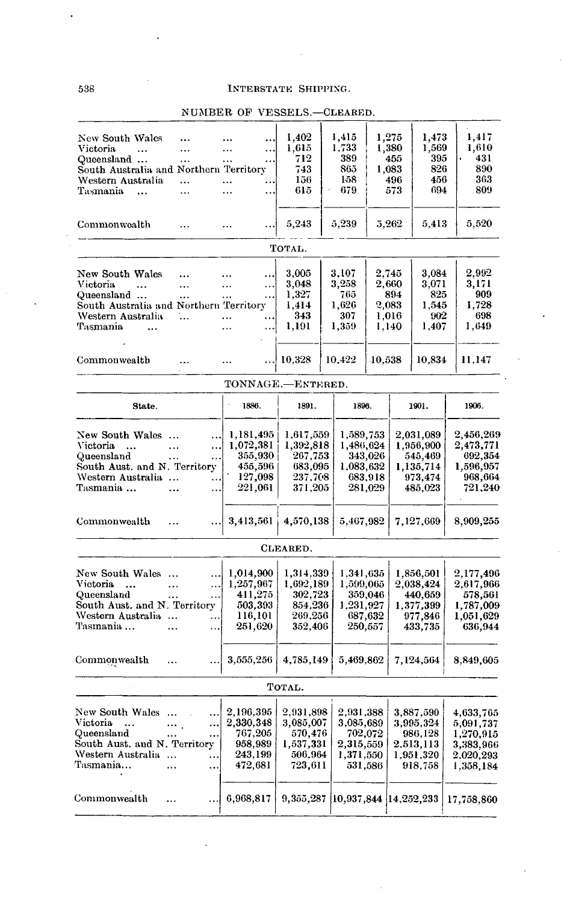# 538 INTERSTATE SHIPPING.

|                                                                  |                       |                    |                      | 1,275        |                      |                      |
|------------------------------------------------------------------|-----------------------|--------------------|----------------------|--------------|----------------------|----------------------|
| New South Wales<br>                                              |                       | 1,402              | 1,415<br>1,733       |              | 1,473<br>1,569       | 1,417<br>1,610       |
| Victoria<br>$\ddotsc$<br>                                        | <br>                  | 1,615<br>712       | 389                  | 1,380<br>455 | 395                  | 431                  |
| Queensland<br>$\cdots$<br>South Australia and Northern Territory | <br>$\ldots$          | 743                | 865                  | 1,083        | 826                  | 890                  |
| Western Australia<br>                                            |                       | 156                | 158                  | 496          | 456                  | 363                  |
| Tasmania<br>$\ddotsc$<br>$\cdots$                                | Ω.<br>$\ddotsc$<br>   | 615                | 679                  | 573          | 694                  | 809                  |
|                                                                  |                       |                    |                      |              |                      |                      |
| Commonwealth<br>$\ddotsc$                                        |                       | 5,243              | 5,239                | 5,262        | 5,413                | 5,520                |
|                                                                  |                       | TOTAL.             |                      |              |                      |                      |
|                                                                  |                       |                    | 3.107                | 2.745        |                      | 2,992                |
| New South Wales<br><br>Victoria                                  | .<br>.                | 3,005<br>3,048     | 3,258                | 2,660        | 3,084<br>3,071       | 3,171                |
| $\ddotsc$<br>$\ddotsc$<br>Queensland                             | $\ddotsc$<br>         | 1,327              | 765                  | 894          | 825                  | 909                  |
| .<br>South Australia and Northern Territory                      | .                     | 1,414              | 1,626                | 2,083        | 1,545                | 1,728                |
| Western Australia<br>1.                                          | $\cdots$<br>$\ddotsc$ | 343                | 307                  | 1,016        | 902                  | 698                  |
| Tasmania<br>$\ddotsc$                                            | $\ldots$<br>          | 1,191              | 1,359                | 1,140        | 1,407                | 1,649                |
|                                                                  |                       |                    |                      |              |                      |                      |
| Commonwealth<br>$\ddotsc$                                        |                       | 10,328             | 10,422               | 10,538       | 10,834               | 11,147               |
|                                                                  | TONNAGE.-ENTERED.     |                    |                      |              |                      |                      |
| State.                                                           | 1886.                 | 1891.              | 1896.                |              | 1901.                | 1906.                |
|                                                                  |                       |                    |                      |              |                      |                      |
| New South Wales<br>$\cdots$                                      | 1,181,495             | 1,617,559          | 1,589,753            |              | $2,\!031,\!089$      | 2,456,269            |
| Victoria<br>$\cdots$<br><br>$\ddotsc$                            | 1,072,381             | 1,392,818          | 1,486,624            |              | 1,956,900            | 2,473,771            |
| Queensland<br>.<br>.<br>South Aust. and N. Territory             | 355,930<br>455,596    | 267,753<br>683,095 | 343,026<br>1,083,632 |              | 545,469              | 692,354<br>1,596,957 |
| Western Australia<br>$\ddotsc$                                   | 127,098               | 237,708            | 683,918              |              | 1,135,714<br>973,474 | 968,664              |
| Tasmania<br><br>                                                 | 221,061               | 371,205            | 281,029              |              | 485,023              | 721,240              |
|                                                                  |                       |                    |                      |              |                      |                      |
| Commonwealth<br>                                                 | 3,413,561             | 4,570,138          | 5,467,982            |              | 7,127,669            | 8,909,255            |
|                                                                  |                       | CLEARED.           |                      |              |                      |                      |
| New South Wales<br>                                              | 1,014,900             | 1,314,339          | 1,341,635            |              | 1,856,501            | 2,177,496            |
| Victoria<br>$\ddotsc$<br>$\ddotsc$<br>$\ddotsc$                  | 1,257,967             | 1,692,189          | 1,599,065            |              | 2,038,424            | 2,617,966            |
| Queensland<br><br>$\ddotsc$                                      | 411,275               | 302,723            | 359,046              |              | 440,659              | 578,561              |
| South Aust. and N. Territory                                     | 503,393               | 854,236            | 1,231,927            |              | 1,377,399            | 1,787,009            |
| Western Australia<br>                                            | 116,101               | 269,256            | 687,632              |              | 977,846              | 1,051,629            |
| Tasmania<br>$\ddotsc$<br>                                        | 251,620               | 352,406            | 250,557              |              | 433,735              | 636,944              |
| Commonwealth                                                     | 3,555,256             | 4,785,149          | 5,469,862            |              | 7,124,564            | 8,849,605            |
|                                                                  |                       |                    |                      |              |                      |                      |
|                                                                  |                       | Тотаь.             |                      |              |                      |                      |
| New South Wales<br>                                              | 2,196,395             | 2,931,898          | 2,931,388            |              | 3,887,590            | 4,633,765            |
| Victoria<br>$\ddotsc$<br><br>$\cdots$ .                          | 2,330,348             | 3,085,007          | 3,085,689            |              | 3,995,324            | 5,091,737            |
| Queensland<br><br>                                               | 767,205               | 570,476            | 702,072              |              | 986,128              | 1,270,915            |
| South Aust. and N. Territory                                     | 958,989               | 1,537,331          | 2,315,559            |              | 2,513,113            | 3,383,966            |
| Western Australia<br>$\cdots$                                    | 243,199               | 506,964            | 1,371,550            |              | 1,951,320            | 2,020,293            |
| Tasmania…<br><br>                                                | 472,681               | 723,611            | 531,586              |              | 918,758              | 1,358,184            |
|                                                                  |                       |                    |                      |              |                      |                      |

# NUMBER OP VESSELS.—CLEARED.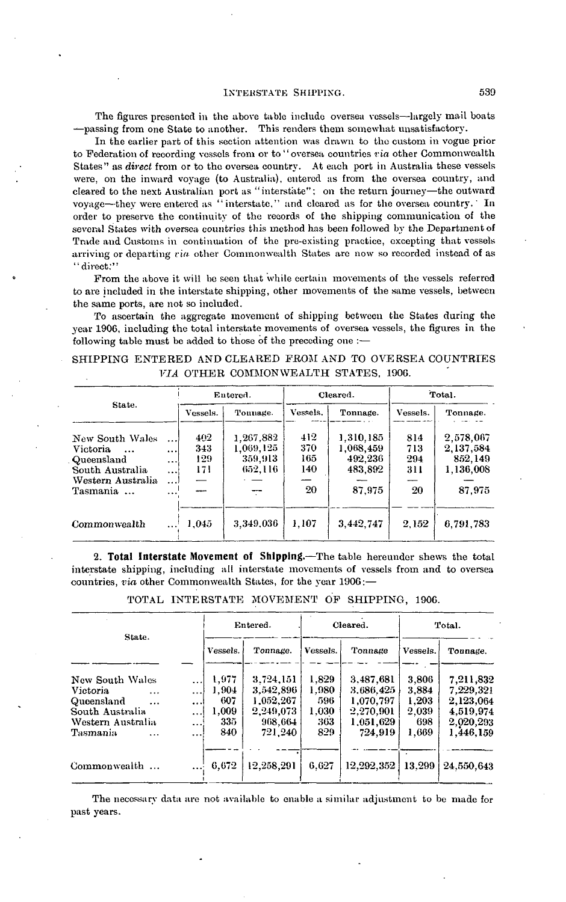#### **INTERSTATE SHIPPING.** 539

The figures presented in the above table include oversea vessels—largely mail boats —passing from one State to another. This renders them somewhat unsatisfactory.

In the earlier part of this section attention was drawn to the custom in vogue prior to "Federation of recording vessels from or to "oversea countries *ria* other Commonwealth States" as *direct* from or to the oversea country. At each port in Australia these vessels were, on the inward voyage (to Australia), entered as from the oversea country, and cleared to the next Australian port as "interstate"; on the return journey—the outward voyage—they were entered as " interstate," and cleared as for the oversea country. In order to preserve the continuity of the records of the shipping communication of the several States with oversea countries this method has been followed by the Department of Trade and Customs in continuation of the pre-existing practice, excepting that vessels arriving or departing *via* other Commonwealth States are now so recorded instead of as "direct:"

Prom the above it will be seen that while certain movements of the vessels referred to are included in the interstate shipping, other movements of the same vessels, between the same ports, are not so included.

To ascertain the aggregate movement of shipping between the States during the year 1906, including the total interstate movements of oversea vessels, the figures in the following table must be added to those of the preceding one :—

|  |  |                                             |  | SHIPPING ENTERED AND CLEARED FROM AND TO OVERSEA COUNTRIES |
|--|--|---------------------------------------------|--|------------------------------------------------------------|
|  |  | <i>VIA</i> OTHER COMMONWEALTH STATES, 1906. |  |                                                            |

|                                                                                                                   |                                                   |                          | Entered.                                     |                                | Cleared.                                               | Total.                         |                                                            |  |
|-------------------------------------------------------------------------------------------------------------------|---------------------------------------------------|--------------------------|----------------------------------------------|--------------------------------|--------------------------------------------------------|--------------------------------|------------------------------------------------------------|--|
| State.                                                                                                            |                                                   | Vessels.                 | Tounage.                                     | Vessels.                       | Tonnage.                                               | Vessels.                       | Tonnage.                                                   |  |
| New South Wales<br><i>Victoria</i><br>$\ddotsc$<br>Queensland<br>South Australia<br>Western Australia<br>Tasmania | !<br><br>$\cdots$<br>$\cdots$<br>لددد<br>$\cdots$ | 402<br>343<br>129<br>171 | 1,267,882<br>1,069,125<br>359,913<br>652,116 | 412<br>370<br>165<br>140<br>20 | 1,310,185<br>1,068,459<br>492,236<br>483,892<br>87,975 | 814<br>713<br>294<br>311<br>20 | 2,578,067<br>2, 137, 584<br>852,149<br>1,136,008<br>87,975 |  |
| Commonwealth                                                                                                      |                                                   | 1,045                    | 3,349,036                                    | 1,107                          | 3,442,747                                              | 2.152                          | 6,791,783                                                  |  |

**2. Total Interstate Movement of Shipping.**—The table hereunder shews the total interstate shipping, including all interstate movements of vessels from and to oversea countries, *via* other Commonwealth States, for the year 190G:—

TOTAL INTERSTATE MOVEMENT OF SHIPPING, 1906.

| State.                 |           |          | Entered.   |          | Cleared.   | Total.       |             |  |
|------------------------|-----------|----------|------------|----------|------------|--------------|-------------|--|
|                        |           | Vessels. | Tonnage.   | Vessels. | Tonnage    | Vessels.     | Tounage.    |  |
| New South Wales        | $\cdots$  | 1,977    | 3.724.151  | 1.829    | 3,487,681  | 3,806        | 7, 211, 832 |  |
| Victoria<br>$\cdots$   | $\cdots$  | 1.904    | 3,542,896  | 1.980    | 3.686.425  | 3.884        | 7.229.321   |  |
| Queensland<br>$\cdots$ | $\cdots$  | 607      | 1,052,267  | 596      | 1,070,797  | <b>1,203</b> | 2,123,064   |  |
| South Australia        |           | 1,009    | 2.249.073  | 1,030    | 2.270.901  | 2.039        | 4.519.974   |  |
| Western Australia      | $\ddotsc$ | 335      | 968.664    | 363      | 1,051,629  | 698          | 2.020,293   |  |
| Tasmania<br>$\ddotsc$  | $\cdots$  | 840      | 721,240    | 829      | 724.919    | 1,669        | 1.446.159   |  |
| Commonwealth           |           | 6,672    | 12.258.291 | 6.627    | 12,292,352 | 13,299       | 24,550,643  |  |

The necessary data are not available to enable a similar adjustment to be made for past years.